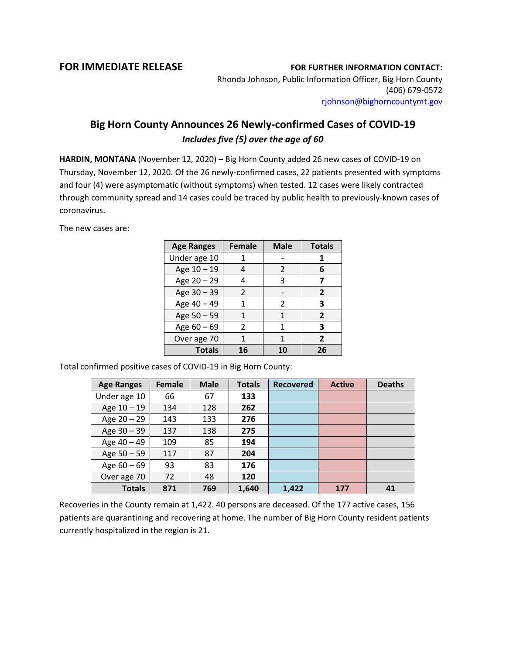## **FOR IMMEDIATE RELEASE FOR FURTHER INFORMATION CONTACT:**

Rhonda Johnson, Public Information Officer, Big Horn County (406) 679-0572 [rjohnson@bighorncountymt.gov](mailto:rjohnson@bighorncountymt.gov)

## **Big Horn County Announces 26 Newly-confirmed Cases of COVID-19** *Includes five (5) over the age of 60*

**HARDIN, MONTANA** (November 12, 2020) – Big Horn County added 26 new cases of COVID-19 on Thursday, November 12, 2020. Of the 26 newly-confirmed cases, 22 patients presented with symptoms and four (4) were asymptomatic (without symptoms) when tested. 12 cases were likely contracted through community spread and 14 cases could be traced by public health to previously-known cases of coronavirus.

The new cases are:

| <b>Age Ranges</b> | <b>Female</b>  | <b>Male</b>    | <b>Totals</b>  |
|-------------------|----------------|----------------|----------------|
| Under age 10      |                |                | 1              |
| Age 10 - 19       |                | $\mathcal{P}$  | 6              |
| Age 20 - 29       |                | 3              |                |
| Age 30 - 39       | $\mathcal{L}$  |                | 2              |
| Age 40 - 49       | 1              | $\mathfrak{p}$ | 3              |
| Age 50 - 59       | 1              | 1              | $\overline{2}$ |
| Age $60 - 69$     | $\mathfrak{p}$ | 1              | 3              |
| Over age 70       | 1              | 1              | $\overline{2}$ |
| <b>Totals</b>     | 16             | 10             | 26             |

Total confirmed positive cases of COVID-19 in Big Horn County:

| <b>Age Ranges</b> | <b>Female</b> | <b>Male</b> | <b>Totals</b> | <b>Recovered</b> | <b>Active</b> | <b>Deaths</b> |
|-------------------|---------------|-------------|---------------|------------------|---------------|---------------|
| Under age 10      | 66            | 67          | 133           |                  |               |               |
| Age $10 - 19$     | 134           | 128         | 262           |                  |               |               |
| Age $20 - 29$     | 143           | 133         | 276           |                  |               |               |
| Age 30 - 39       | 137           | 138         | 275           |                  |               |               |
| Age 40 - 49       | 109           | 85          | 194           |                  |               |               |
| Age 50 - 59       | 117           | 87          | 204           |                  |               |               |
| Age $60 - 69$     | 93            | 83          | 176           |                  |               |               |
| Over age 70       | 72            | 48          | 120           |                  |               |               |
| <b>Totals</b>     | 871           | 769         | 1,640         | 1,422            | 177           | 41            |

Recoveries in the County remain at 1,422. 40 persons are deceased. Of the 177 active cases, 156 patients are quarantining and recovering at home. The number of Big Horn County resident patients currently hospitalized in the region is 21.